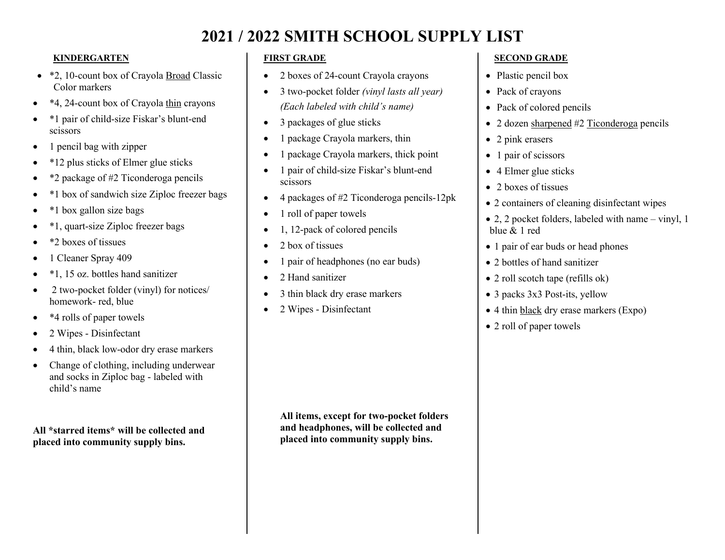# **2021 / 2022 SMITH SCHOOL SUPPLY LIST**

#### **KINDERGARTEN**

- \*2, 10-count box of Crayola Broad Classic Color markers
- \*4, 24-count box of Crayola thin crayons
- \*1 pair of child-size Fiskar's blunt-end scissors
- 1 pencil bag with zipper
- \*12 plus sticks of Elmer glue sticks
- \*2 package of #2 Ticonderoga pencils
- \*1 box of sandwich size Ziploc freezer bags
- \*1 box gallon size bags
- \*1, quart-size Ziploc freezer bags
- \*2 boxes of tissues
- 1 Cleaner Spray 409
- \*1, 15 oz. bottles hand sanitizer
- 2 two-pocket folder (vinyl) for notices/ homework- red, blue
- \*4 rolls of paper towels
- 2 Wipes Disinfectant
- 4 thin, black low-odor dry erase markers
- Change of clothing, including underwear and socks in Ziploc bag - labeled with child's name

**All \*starred items\* will be collected and placed into community supply bins.** 

### **FIRST GRADE**

- 2 boxes of 24-count Crayola crayons
- 3 two-pocket folder *(vinyl lasts all year) (Each labeled with child's name)*
- 3 packages of glue sticks
- 1 package Crayola markers, thin
- 1 package Crayola markers, thick point
- 1 pair of child-size Fiskar's blunt-end scissors
- 4 packages of #2 Ticonderoga pencils-12pk
- 1 roll of paper towels
- 1, 12-pack of colored pencils
- 2 box of tissues
- 1 pair of headphones (no ear buds)
- 2 Hand sanitizer
- 3 thin black dry erase markers
- 2 Wipes Disinfectant

### **SECOND GRADE**

- Plastic pencil box
- Pack of crayons
- Pack of colored pencils
- 2 dozen sharpened #2 Ticonderoga pencils
- 2 pink erasers
- 1 pair of scissors
- 4 Elmer glue sticks
- 2 boxes of tissues
- 2 containers of cleaning disinfectant wipes
- 2, 2 pocket folders, labeled with name vinyl, 1 blue & 1 red
- 1 pair of ear buds or head phones
- 2 bottles of hand sanitizer
- 2 roll scotch tape (refills ok)
- 3 packs 3x3 Post-its, yellow
- 4 thin black dry erase markers (Expo)
- 2 roll of paper towels

**All items, except for two-pocket folders and headphones, will be collected and placed into community supply bins.**